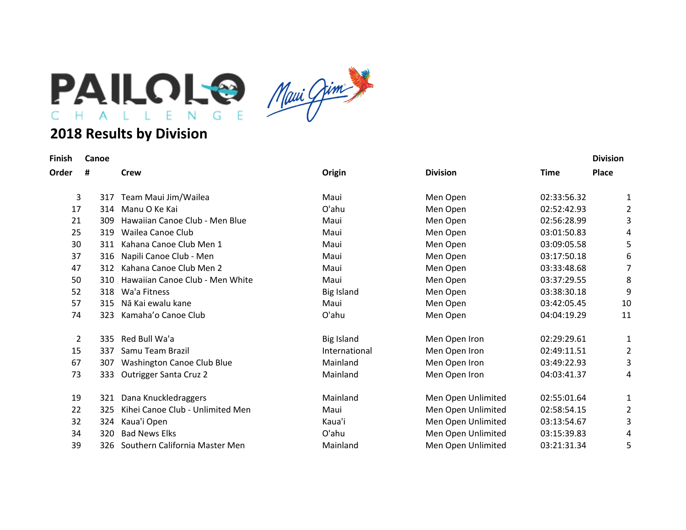

## **2018 Results by Division**

| Finish |  | Canor |  |
|--------|--|-------|--|

| Finish | Canoe |                                     |                   |                    |             | <b>Division</b> |
|--------|-------|-------------------------------------|-------------------|--------------------|-------------|-----------------|
| Order  | #     | <b>Crew</b>                         | Origin            | <b>Division</b>    | <b>Time</b> | <b>Place</b>    |
| 3      | 317   | Team Maui Jim/Wailea                | Maui              | Men Open           | 02:33:56.32 | 1               |
| 17     | 314   | Manu O Ke Kai                       | O'ahu             | Men Open           | 02:52:42.93 | 2               |
| 21     | 309   | Hawaiian Canoe Club - Men Blue      | Maui              | Men Open           | 02:56:28.99 | 3               |
| 25     | 319   | Wailea Canoe Club                   | Maui              | Men Open           | 03:01:50.83 | 4               |
| 30     | 311   | Kahana Canoe Club Men 1             | Maui              | Men Open           | 03:09:05.58 | 5               |
| 37     | 316   | Napili Canoe Club - Men             | Maui              | Men Open           | 03:17:50.18 | 6               |
| 47     |       | 312 Kahana Canoe Club Men 2         | Maui              | Men Open           | 03:33:48.68 | 7               |
| 50     |       | 310 Hawaiian Canoe Club - Men White | Maui              | Men Open           | 03:37:29.55 | 8               |
| 52     |       | 318 Wa'a Fitness                    | <b>Big Island</b> | Men Open           | 03:38:30.18 | 9               |
| 57     |       | 315 Nā Kai ewalu kane               | Maui              | Men Open           | 03:42:05.45 | 10              |
| 74     |       | 323 Kamaha'o Canoe Club             | O'ahu             | Men Open           | 04:04:19.29 | 11              |
| 2      |       | 335 Red Bull Wa'a                   | <b>Big Island</b> | Men Open Iron      | 02:29:29.61 | 1               |
| 15     | 337   | Samu Team Brazil                    | International     | Men Open Iron      | 02:49:11.51 | 2               |
| 67     |       | 307 Washington Canoe Club Blue      | Mainland          | Men Open Iron      | 03:49:22.93 | 3               |
| 73     | 333   | <b>Outrigger Santa Cruz 2</b>       | Mainland          | Men Open Iron      | 04:03:41.37 | 4               |
| 19     | 321   | Dana Knuckledraggers                | Mainland          | Men Open Unlimited | 02:55:01.64 | 1               |
| 22     | 325   | Kihei Canoe Club - Unlimited Men    | Maui              | Men Open Unlimited | 02:58:54.15 | 2               |
| 32     |       | 324 Kaua'i Open                     | Kaua'i            | Men Open Unlimited | 03:13:54.67 | 3               |
| 34     | 320   | <b>Bad News Elks</b>                | O'ahu             | Men Open Unlimited | 03:15:39.83 | 4               |
| 39     | 326   | Southern California Master Men      | Mainland          | Men Open Unlimited | 03:21:31.34 | 5               |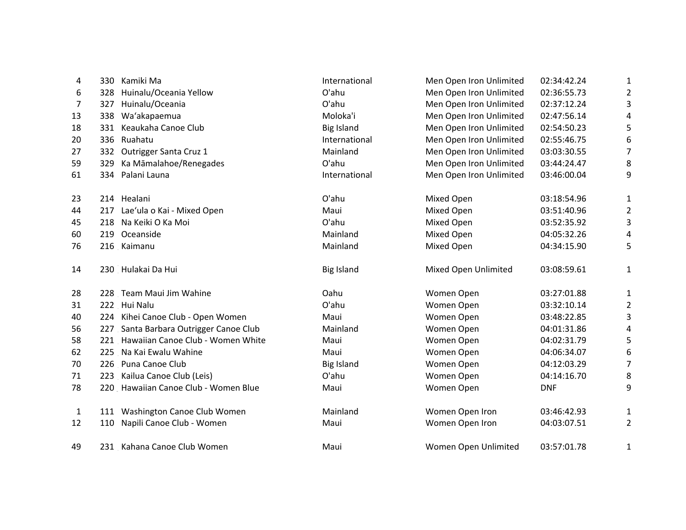| 4            | 330 Kamiki Ma                          | International     | Men Open Iron Unlimited | 02:34:42.24 | 1                       |
|--------------|----------------------------------------|-------------------|-------------------------|-------------|-------------------------|
| 6            | Huinalu/Oceania Yellow<br>328          | O'ahu             | Men Open Iron Unlimited | 02:36:55.73 | $\overline{2}$          |
| 7            | Huinalu/Oceania<br>327                 | O'ahu             | Men Open Iron Unlimited | 02:37:12.24 | 3                       |
| 13           | 338 Wa'akapaemua                       | Moloka'i          | Men Open Iron Unlimited | 02:47:56.14 | 4                       |
| 18           | 331 Keaukaha Canoe Club                | <b>Big Island</b> | Men Open Iron Unlimited | 02:54:50.23 | 5                       |
| 20           | 336 Ruahatu                            | International     | Men Open Iron Unlimited | 02:55:46.75 | 6                       |
| 27           | 332 Outrigger Santa Cruz 1             | Mainland          | Men Open Iron Unlimited | 03:03:30.55 | 7                       |
| 59           | Ka Māmalahoe/Renegades<br>329          | O'ahu             | Men Open Iron Unlimited | 03:44:24.47 | 8                       |
| 61           | Palani Launa<br>334                    | International     | Men Open Iron Unlimited | 03:46:00.04 | 9                       |
| 23           | 214 Healani                            | O'ahu             | Mixed Open              | 03:18:54.96 | $\mathbf{1}$            |
| 44           | 217 Lae'ula o Kai - Mixed Open         | Maui              | Mixed Open              | 03:51:40.96 | $\overline{2}$          |
| 45           | 218 Na Keiki O Ka Moi                  | O'ahu             | Mixed Open              | 03:52:35.92 | 3                       |
| 60           | 219 Oceanside                          | Mainland          | Mixed Open              | 04:05:32.26 | 4                       |
| 76           | 216 Kaimanu                            | Mainland          | Mixed Open              | 04:34:15.90 | 5                       |
| 14           | 230 Hulakai Da Hui                     | <b>Big Island</b> | Mixed Open Unlimited    | 03:08:59.61 | $\mathbf{1}$            |
| 28           | 228 Team Maui Jim Wahine               | Oahu              | Women Open              | 03:27:01.88 | $\mathbf{1}$            |
| 31           | 222 Hui Nalu                           | O'ahu             | Women Open              | 03:32:10.14 | $\overline{\mathbf{c}}$ |
| 40           | 224 Kihei Canoe Club - Open Women      | Maui              | Women Open              | 03:48:22.85 | 3                       |
| 56           | 227 Santa Barbara Outrigger Canoe Club | Mainland          | Women Open              | 04:01:31.86 | 4                       |
| 58           | 221 Hawaiian Canoe Club - Women White  | Maui              | Women Open              | 04:02:31.79 | 5                       |
| 62           | 225 Na Kai Ewalu Wahine                | Maui              | Women Open              | 04:06:34.07 | 6                       |
| 70           | 226 Puna Canoe Club                    | <b>Big Island</b> | Women Open              | 04:12:03.29 | 7                       |
| 71           | 223 Kailua Canoe Club (Leis)           | O'ahu             | Women Open              | 04:14:16.70 | 8                       |
| 78           | 220 Hawaiian Canoe Club - Women Blue   | Maui              | Women Open              | <b>DNF</b>  | 9                       |
| $\mathbf{1}$ | 111 Washington Canoe Club Women        | Mainland          | Women Open Iron         | 03:46:42.93 | $\mathbf{1}$            |
| 12           | 110 Napili Canoe Club - Women          | Maui              | Women Open Iron         | 04:03:07.51 | $\overline{2}$          |
| 49           | 231 Kahana Canoe Club Women            | Maui              | Women Open Unlimited    | 03:57:01.78 | $\mathbf{1}$            |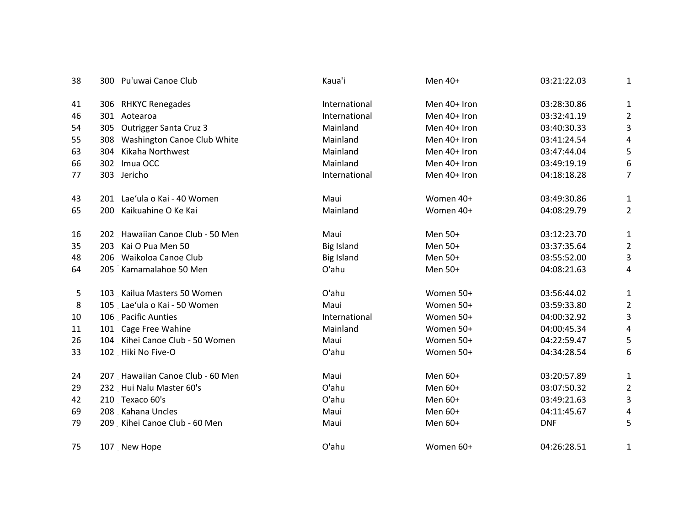| 38 | 300 Pu'uwai Canoe Club           | Kaua'i            | Men 40+      | 03:21:22.03 | 1                         |
|----|----------------------------------|-------------------|--------------|-------------|---------------------------|
| 41 | 306 RHKYC Renegades              | International     | Men 40+ Iron | 03:28:30.86 | $\mathbf{1}$              |
| 46 | 301 Aotearoa                     | International     | Men 40+ Iron | 03:32:41.19 | $\overline{2}$            |
| 54 | 305 Outrigger Santa Cruz 3       | Mainland          | Men 40+ Iron | 03:40:30.33 | 3                         |
| 55 | 308 Washington Canoe Club White  | Mainland          | Men 40+ Iron | 03:41:24.54 | 4                         |
| 63 | Kikaha Northwest<br>304          | Mainland          | Men 40+ Iron | 03:47:44.04 | 5                         |
| 66 | 302 Imua OCC                     | Mainland          | Men 40+ Iron | 03:49:19.19 | 6                         |
| 77 | 303 Jericho                      | International     | Men 40+ Iron | 04:18:18.28 | $\overline{7}$            |
| 43 | 201 Lae'ula o Kai - 40 Women     | Maui              | Women 40+    | 03:49:30.86 | $\mathbf{1}$              |
| 65 | 200 Kaikuahine O Ke Kai          | Mainland          | Women 40+    | 04:08:29.79 | $\overline{2}$            |
| 16 | 202 Hawaiian Canoe Club - 50 Men | Maui              | Men 50+      | 03:12:23.70 | $\mathbf{1}$              |
| 35 | 203 Kai O Pua Men 50             | <b>Big Island</b> | Men 50+      | 03:37:35.64 | $\overline{2}$            |
| 48 | 206 Waikoloa Canoe Club          | <b>Big Island</b> | Men 50+      | 03:55:52.00 | 3                         |
| 64 | 205 Kamamalahoe 50 Men           | O'ahu             | Men 50+      | 04:08:21.63 | 4                         |
| 5  | 103 Kailua Masters 50 Women      | O'ahu             | Women 50+    | 03:56:44.02 | 1                         |
| 8  | 105 Lae'ula o Kai - 50 Women     | Maui              | Women 50+    | 03:59:33.80 | $\overline{2}$            |
| 10 | 106 Pacific Aunties              | International     | Women 50+    | 04:00:32.92 | $\ensuremath{\mathsf{3}}$ |
| 11 | 101 Cage Free Wahine             | Mainland          | Women 50+    | 04:00:45.34 | 4                         |
| 26 | 104 Kihei Canoe Club - 50 Women  | Maui              | Women 50+    | 04:22:59.47 | 5                         |
| 33 | 102 Hiki No Five-O               | O'ahu             | Women 50+    | 04:34:28.54 | 6                         |
| 24 | 207 Hawaiian Canoe Club - 60 Men | Maui              | Men 60+      | 03:20:57.89 | $\mathbf{1}$              |
| 29 | 232 Hui Nalu Master 60's         | O'ahu             | Men 60+      | 03:07:50.32 | $\overline{2}$            |
| 42 | 210 Texaco 60's                  | O'ahu             | Men 60+      | 03:49:21.63 | 3                         |
| 69 | 208 Kahana Uncles                | Maui              | Men 60+      | 04:11:45.67 | 4                         |
| 79 | 209 Kihei Canoe Club - 60 Men    | Maui              | Men 60+      | <b>DNF</b>  | 5                         |
| 75 | 107 New Hope                     | O'ahu             | Women 60+    | 04:26:28.51 | $\mathbf{1}$              |